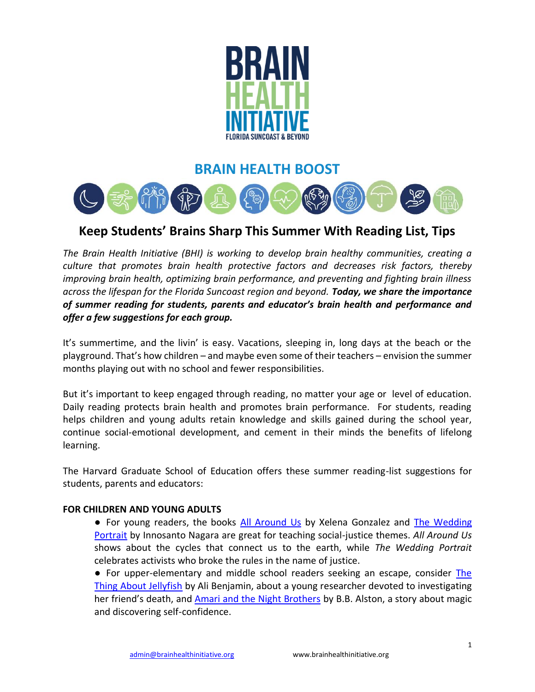

# **BRAIN HEALTH BOOST**



# **Keep Students' Brains Sharp This Summer With Reading List, Tips**

*The Brain Health Initiative (BHI) is working to develop brain healthy communities, creating a culture that promotes brain health protective factors and decreases risk factors, thereby improving brain health, optimizing brain performance, and preventing and fighting brain illness across the lifespan for the Florida Suncoast region and beyond. Today, we share the importance of summer reading for students, parents and educator's brain health and performance and offer a few suggestions for each group.*

It's summertime, and the livin' is easy. Vacations, sleeping in, long days at the beach or the playground. That's how children – and maybe even some of their teachers – envision the summer months playing out with no school and fewer responsibilities.

But it's important to keep engaged through reading, no matter your age or level of education. Daily reading protects brain health and promotes brain performance. For students, reading helps children and young adults retain knowledge and skills gained during the school year, continue social-emotional development, and cement in their minds the benefits of lifelong learning.

The Harvard Graduate School of Education offers these summer reading-list suggestions for students, parents and educators:

#### **FOR CHILDREN AND YOUNG ADULTS**

- For young readers, the books [All Around Us](https://www.amazon.com/All-Around-Us-Xelena-Gonzalez/dp/1941026761) by Xelena Gonzalez and The Wedding [Portrait](https://www.amazon.com/Wedding-Portrait-Innosanto-Nagara/dp/1609808029/ref=sr_1_1?crid=3MQZCJVXH5LAO&keywords=The+Wedding+Portrait&qid=1654264097&s=books&sprefix=the+wedding+portrait%2Cstripbooks%2C91&sr=1-1) by Innosanto Nagara are great for teaching social-justice themes. *All Around Us* shows about the cycles that connect us to the earth, while *The Wedding Portrait* celebrates activists who broke the rules in the name of justice.
- For upper-elementary and middle school readers seeking an escape, consider [The](https://www.amazon.com/s?k=the+thing+about+jellyfish&i=stripbooks&crid=1PB57HEYTS8JA&sprefix=The+Thing+About%2Cstripbooks%2C129&ref=nb_sb_ss_ts-doa-p_1_15)  [Thing About Jellyfish](https://www.amazon.com/s?k=the+thing+about+jellyfish&i=stripbooks&crid=1PB57HEYTS8JA&sprefix=The+Thing+About%2Cstripbooks%2C129&ref=nb_sb_ss_ts-doa-p_1_15) by Ali Benjamin, about a young researcher devoted to investigating her friend's death, and [Amari and the Night Brothers](https://www.amazon.com/s?k=amari+and+the+night+brothers&i=stripbooks&crid=3Q6T7HCKUH1QA&sprefix=Amari+and%2Cstripbooks%2C88&ref=nb_sb_ss_ts-doa-p_1_9) by B.B. Alston, a story about magic and discovering self-confidence.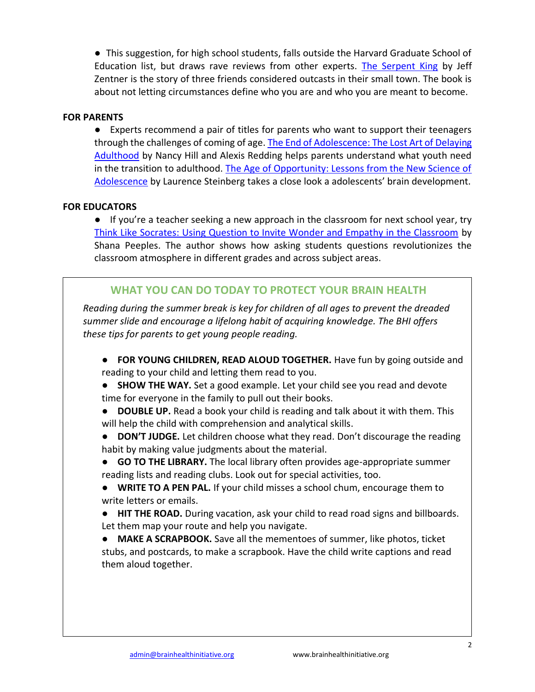● This suggestion, for high school students, falls outside the Harvard Graduate School of Education list, but draws rave reviews from other experts. [The Serpent King](https://www.amazon.com/Serpent-King-Jeff-Zentner/dp/055352402X/ref=as_li_ss_tl?s=books&ie=UTF8&qid=1460654305&sr=1-1&keywords=the+serpent+king&linkCode=sl1&tag=melitaylonli-20&linkId=6b07850cb934d06274d358f39c3db043) by Jeff Zentner is the story of three friends considered outcasts in their small town. The book is about not letting circumstances define who you are and who you are meant to become.

### **FOR PARENTS**

● Experts recommend a pair of titles for parents who want to support their teenagers through the challenges of coming of age. The End of Adolescence: The Lost Art of Delaying [Adulthood](https://www.amazon.com/End-Adolescence-Lost-Delaying-Adulthood/dp/B096CQKCFQ/ref=sr_1_1?crid=2Q89D4HBFD54F&keywords=the+end+of+adolescence+the+lost+art+of+delaying+adulthood&qid=1654265739&sprefix=The+End+of+Ado%2Caps%2C114&sr=8-1) by Nancy Hill and Alexis Redding helps parents understand what youth need in the transition to adulthood. The Age of Opportunity: Lessons from the New Science of [Adolescence](https://www.amazon.com/Age-of-Opportunity-audiobook/dp/B00MNM6S2M/ref=sr_1_1?crid=2CYM6BB6XWVN&keywords=The+Age+of+Opportunity&qid=1654265781&s=audible&sprefix=the+age+of+opportunity%2Caudible%2C82&sr=1-1) by Laurence Steinberg takes a close look a adolescents' brain development.

### **FOR EDUCATORS**

● If you're a teacher seeking a new approach in the classroom for next school year, try [Think Like Socrates: Using Question to Invite Wonder and Empathy in the Classroom](https://www.amazon.com/Think-Like-Socrates-Questions-Essentials/dp/1506391648/ref=sr_1_1?crid=252Z898M3MW8X&keywords=Think+Like+Socrates&qid=1654266139&s=audible&sprefix=think+like+socrates%2Caudible%2C72&sr=1-1-catcorr) by Shana Peeples. The author shows how asking students questions revolutionizes the classroom atmosphere in different grades and across subject areas.

## **WHAT YOU CAN DO TODAY TO PROTECT YOUR BRAIN HEALTH**

*Reading during the summer break is key for children of all ages to prevent the dreaded summer slide and encourage a lifelong habit of acquiring knowledge. The BHI offers these tips for parents to get young people reading.*

- **FOR YOUNG CHILDREN, READ ALOUD TOGETHER.** Have fun by going outside and reading to your child and letting them read to you.
- **SHOW THE WAY.** Set a good example. Let your child see you read and devote time for everyone in the family to pull out their books.
- **DOUBLE UP.** Read a book your child is reading and talk about it with them. This will help the child with comprehension and analytical skills.
- **DON'T JUDGE.** Let children choose what they read. Don't discourage the reading habit by making value judgments about the material.
- **GO TO THE LIBRARY.** The local library often provides age-appropriate summer reading lists and reading clubs. Look out for special activities, too.
- **WRITE TO A PEN PAL.** If your child misses a school chum, encourage them to write letters or emails.
- **HIT THE ROAD.** During vacation, ask your child to read road signs and billboards. Let them map your route and help you navigate.

● **MAKE A SCRAPBOOK.** Save all the mementoes of summer, like photos, ticket stubs, and postcards, to make a scrapbook. Have the child write captions and read them aloud together.